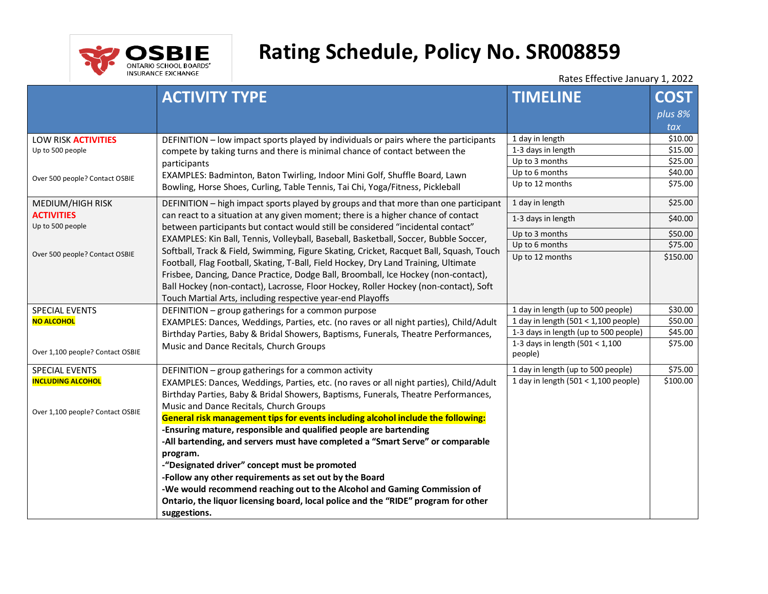

# **Rating Schedule, Policy No. SR008859**

Rates Effective January 1, 2022

|                                                                                             | <b>ACTIVITY TYPE</b>                                                                                                                                                                                                                                                                                                                                                                                                                                                                                                                  | <b>TIMELINE</b>                       | <b>COST</b> |
|---------------------------------------------------------------------------------------------|---------------------------------------------------------------------------------------------------------------------------------------------------------------------------------------------------------------------------------------------------------------------------------------------------------------------------------------------------------------------------------------------------------------------------------------------------------------------------------------------------------------------------------------|---------------------------------------|-------------|
|                                                                                             |                                                                                                                                                                                                                                                                                                                                                                                                                                                                                                                                       |                                       | plus 8%     |
|                                                                                             |                                                                                                                                                                                                                                                                                                                                                                                                                                                                                                                                       |                                       | tax         |
| LOW RISK ACTIVITIES<br>Up to 500 people                                                     | DEFINITION - low impact sports played by individuals or pairs where the participants<br>compete by taking turns and there is minimal chance of contact between the<br>participants                                                                                                                                                                                                                                                                                                                                                    | 1 day in length                       | \$10.00     |
|                                                                                             |                                                                                                                                                                                                                                                                                                                                                                                                                                                                                                                                       | 1-3 days in length                    | \$15.00     |
|                                                                                             |                                                                                                                                                                                                                                                                                                                                                                                                                                                                                                                                       | Up to 3 months                        | \$25.00     |
| Over 500 people? Contact OSBIE                                                              | EXAMPLES: Badminton, Baton Twirling, Indoor Mini Golf, Shuffle Board, Lawn                                                                                                                                                                                                                                                                                                                                                                                                                                                            | Up to 6 months                        | \$40.00     |
|                                                                                             | Bowling, Horse Shoes, Curling, Table Tennis, Tai Chi, Yoga/Fitness, Pickleball                                                                                                                                                                                                                                                                                                                                                                                                                                                        | Up to 12 months                       | \$75.00     |
| MEDIUM/HIGH RISK<br><b>ACTIVITIES</b><br>Up to 500 people<br>Over 500 people? Contact OSBIE | DEFINITION - high impact sports played by groups and that more than one participant<br>can react to a situation at any given moment; there is a higher chance of contact<br>between participants but contact would still be considered "incidental contact"<br>EXAMPLES: Kin Ball, Tennis, Volleyball, Baseball, Basketball, Soccer, Bubble Soccer,<br>Softball, Track & Field, Swimming, Figure Skating, Cricket, Racquet Ball, Squash, Touch<br>Football, Flag Football, Skating, T-Ball, Field Hockey, Dry Land Training, Ultimate | 1 day in length                       | \$25.00     |
|                                                                                             |                                                                                                                                                                                                                                                                                                                                                                                                                                                                                                                                       | 1-3 days in length                    | \$40.00     |
|                                                                                             |                                                                                                                                                                                                                                                                                                                                                                                                                                                                                                                                       | Up to 3 months                        | \$50.00     |
|                                                                                             |                                                                                                                                                                                                                                                                                                                                                                                                                                                                                                                                       | Up to 6 months                        | \$75.00     |
|                                                                                             |                                                                                                                                                                                                                                                                                                                                                                                                                                                                                                                                       | Up to 12 months                       | \$150.00    |
|                                                                                             | Frisbee, Dancing, Dance Practice, Dodge Ball, Broomball, Ice Hockey (non-contact),                                                                                                                                                                                                                                                                                                                                                                                                                                                    |                                       |             |
|                                                                                             | Ball Hockey (non-contact), Lacrosse, Floor Hockey, Roller Hockey (non-contact), Soft                                                                                                                                                                                                                                                                                                                                                                                                                                                  |                                       |             |
|                                                                                             | Touch Martial Arts, including respective year-end Playoffs                                                                                                                                                                                                                                                                                                                                                                                                                                                                            |                                       |             |
| <b>SPECIAL EVENTS</b>                                                                       | DEFINITION - group gatherings for a common purpose                                                                                                                                                                                                                                                                                                                                                                                                                                                                                    | 1 day in length (up to 500 people)    | \$30.00     |
| <b>NO ALCOHOL</b>                                                                           | EXAMPLES: Dances, Weddings, Parties, etc. (no raves or all night parties), Child/Adult                                                                                                                                                                                                                                                                                                                                                                                                                                                | 1 day in length (501 < 1,100 people)  | \$50.00     |
|                                                                                             | Birthday Parties, Baby & Bridal Showers, Baptisms, Funerals, Theatre Performances,                                                                                                                                                                                                                                                                                                                                                                                                                                                    | 1-3 days in length (up to 500 people) | \$45.00     |
|                                                                                             | Music and Dance Recitals, Church Groups                                                                                                                                                                                                                                                                                                                                                                                                                                                                                               | 1-3 days in length $(501 < 1,100)$    | \$75.00     |
| Over 1,100 people? Contact OSBIE                                                            |                                                                                                                                                                                                                                                                                                                                                                                                                                                                                                                                       | people)                               |             |
| <b>SPECIAL EVENTS</b>                                                                       | DEFINITION - group gatherings for a common activity                                                                                                                                                                                                                                                                                                                                                                                                                                                                                   | 1 day in length (up to 500 people)    | \$75.00     |
| <b>INCLUDING ALCOHOL</b>                                                                    | EXAMPLES: Dances, Weddings, Parties, etc. (no raves or all night parties), Child/Adult                                                                                                                                                                                                                                                                                                                                                                                                                                                | 1 day in length (501 < 1,100 people)  | \$100.00    |
|                                                                                             | Birthday Parties, Baby & Bridal Showers, Baptisms, Funerals, Theatre Performances,                                                                                                                                                                                                                                                                                                                                                                                                                                                    |                                       |             |
| Over 1,100 people? Contact OSBIE                                                            | Music and Dance Recitals, Church Groups                                                                                                                                                                                                                                                                                                                                                                                                                                                                                               |                                       |             |
|                                                                                             | General risk management tips for events including alcohol include the following:                                                                                                                                                                                                                                                                                                                                                                                                                                                      |                                       |             |
|                                                                                             | -Ensuring mature, responsible and qualified people are bartending                                                                                                                                                                                                                                                                                                                                                                                                                                                                     |                                       |             |
|                                                                                             | -All bartending, and servers must have completed a "Smart Serve" or comparable                                                                                                                                                                                                                                                                                                                                                                                                                                                        |                                       |             |
|                                                                                             | program.                                                                                                                                                                                                                                                                                                                                                                                                                                                                                                                              |                                       |             |
|                                                                                             | -"Designated driver" concept must be promoted                                                                                                                                                                                                                                                                                                                                                                                                                                                                                         |                                       |             |
|                                                                                             | -Follow any other requirements as set out by the Board                                                                                                                                                                                                                                                                                                                                                                                                                                                                                |                                       |             |
|                                                                                             | -We would recommend reaching out to the Alcohol and Gaming Commission of                                                                                                                                                                                                                                                                                                                                                                                                                                                              |                                       |             |
|                                                                                             | Ontario, the liquor licensing board, local police and the "RIDE" program for other                                                                                                                                                                                                                                                                                                                                                                                                                                                    |                                       |             |
|                                                                                             | suggestions.                                                                                                                                                                                                                                                                                                                                                                                                                                                                                                                          |                                       |             |